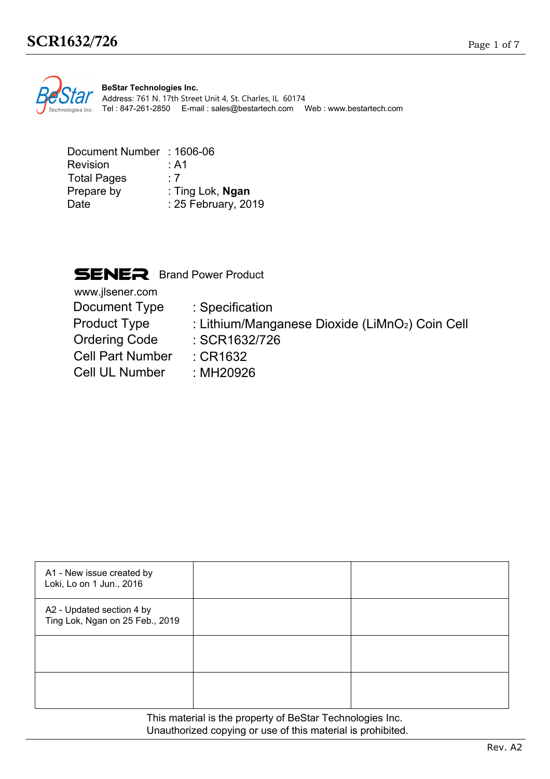

| Document Number : 1606-06 |                         |
|---------------------------|-------------------------|
| <b>Revision</b>           | : A1                    |
| <b>Total Pages</b>        | $\cdot$ 7               |
| Prepare by                | : Ting Lok, <b>Ngan</b> |
| Date                      | : 25 February, 2019     |

# **SENER** Brand Power Product

| www.jlsener.com         |                                                |
|-------------------------|------------------------------------------------|
| Document Type           | : Specification                                |
| <b>Product Type</b>     | : Lithium/Manganese Dioxide (LiMnO2) Coin Cell |
| <b>Ordering Code</b>    | : SCR1632/726                                  |
| <b>Cell Part Number</b> | $\therefore$ CR1632                            |
| <b>Cell UL Number</b>   | : MH20926                                      |
|                         |                                                |

| A1 - New issue created by<br>Loki, Lo on 1 Jun., 2016        |  |  |  |  |  |
|--------------------------------------------------------------|--|--|--|--|--|
| A2 - Updated section 4 by<br>Ting Lok, Ngan on 25 Feb., 2019 |  |  |  |  |  |
|                                                              |  |  |  |  |  |
|                                                              |  |  |  |  |  |
| This material is the property of BeStar Technologies Inc.    |  |  |  |  |  |

Unauthorized copying or use of this material is prohibited.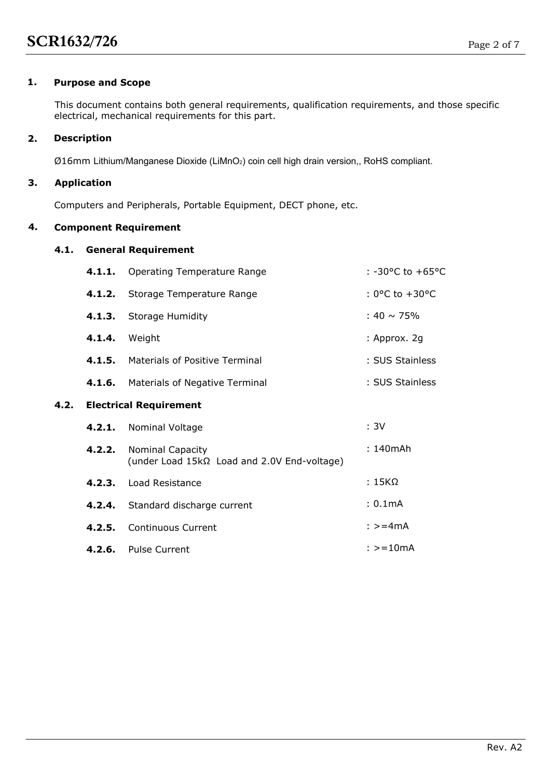### **Purpose and Scope 1.**

This document contains both general requirements, qualification requirements, and those specific electrical, mechanical requirements for this part.

#### **Description 2.**

Ø16mm Lithium/Manganese Dioxide (LiMnO2) coin cell high drain version,, RoHS compliant.

#### **Application 3.**

**4.2. Electrical Requirement**

Computers and Peripherals, Portable Equipment, DECT phone, etc.

### **Component Requirement 4.**

# **4.1. General Requirement**

|      | 4.1.1.                        | <b>Operating Temperature Range</b>                              | : -30°C to +65°C      |
|------|-------------------------------|-----------------------------------------------------------------|-----------------------|
|      |                               | 4.1.2. Storage Temperature Range                                | : 0°C to +30°C        |
|      |                               | 4.1.3. Storage Humidity                                         | : 40 $\sim$ 75%       |
|      |                               | <b>4.1.4.</b> Weight                                            | : Approx. 2g          |
|      |                               | <b>4.1.5.</b> Materials of Positive Terminal                    | : SUS Stainless       |
|      | 4.1.6.                        | Materials of Negative Terminal                                  | : SUS Stainless       |
| 4.2. | <b>Electrical Requirement</b> |                                                                 |                       |
|      |                               | 4.2.1. Nominal Voltage                                          | :3V                   |
|      | 4.2.2.                        | Nominal Capacity<br>(under Load 15kΩ Load and 2.0V End-voltage) | $: 140m$ Ah           |
|      |                               | 4.2.3. Load Resistance                                          | : 15K $\Omega$        |
|      | 4.2.4.                        | Standard discharge current                                      | : 0.1mA               |
|      |                               | 4.2.5. Continuous Current                                       | $: z = 4mA$           |
|      |                               | 4.2.6. Pulse Current                                            | $: z = 10 \text{ mA}$ |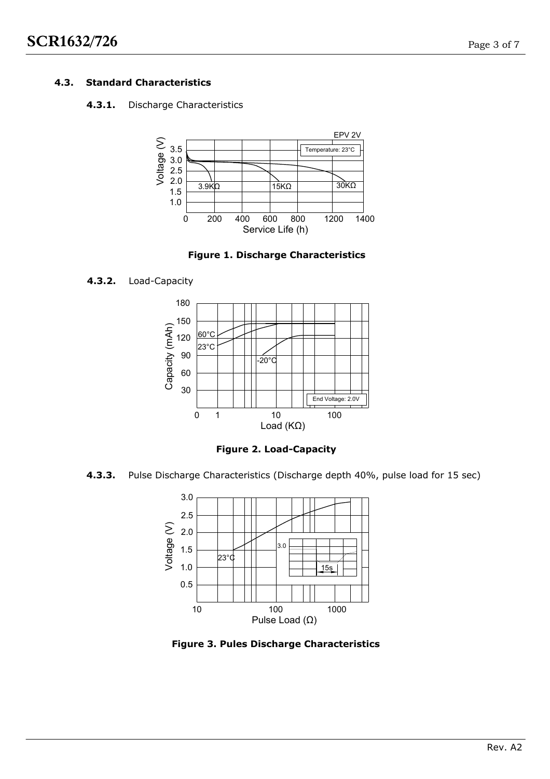# **4.3. Standard Characteristics**

### **4.3.1.** Discharge Characteristics



**Figure 1. Discharge Characteristics**

### **4.3.2.** Load-Capacity



**Figure 2. Load-Capacity**

**4.3.3.** Pulse Discharge Characteristics (Discharge depth 40%, pulse load for 15 sec)



**Figure 3. Pules Discharge Characteristics**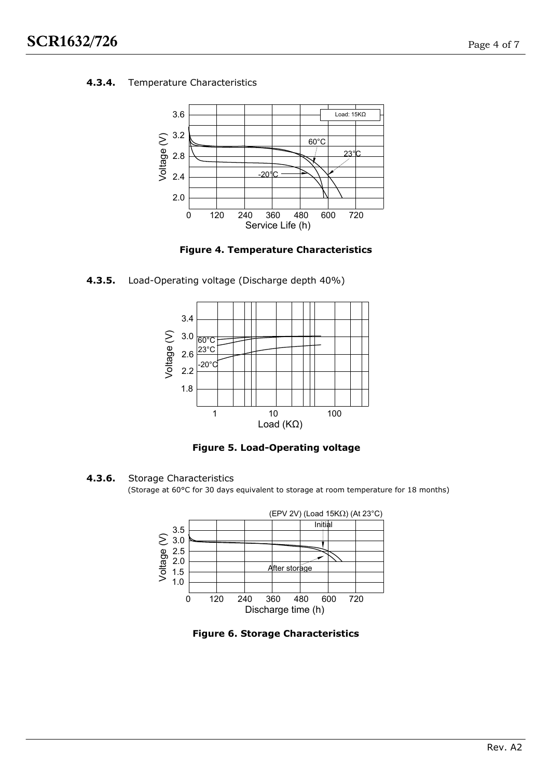### **4.3.4.** Temperature Characteristics



**Figure 4. Temperature Characteristics**







**4.3.6.** Storage Characteristics

(Storage at 60°C for 30 days equivalent to storage at room temperature for 18 months)



**Figure 6. Storage Characteristics**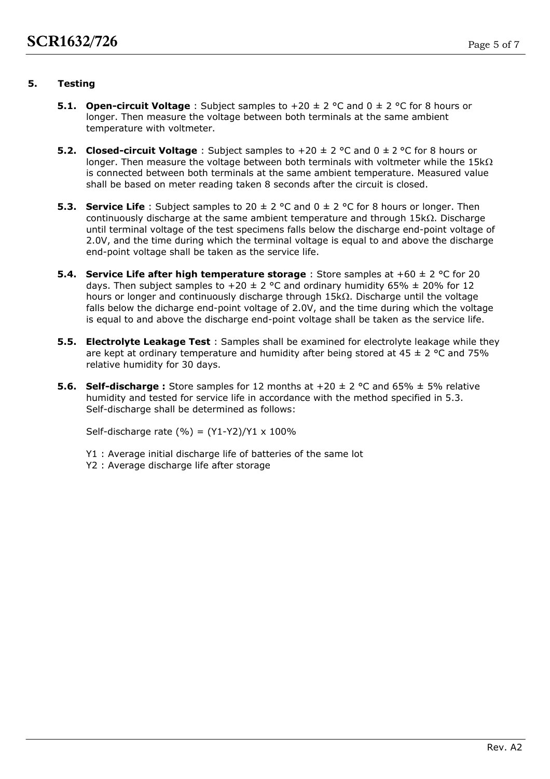### **5. Testing**

- **5.1. Open-circuit Voltage** : Subject samples to +20 ± 2 °C and 0 ± 2 °C for 8 hours or longer. Then measure the voltage between both terminals at the same ambient temperature with voltmeter.
- **5.2. Closed-circuit Voltage** : Subject samples to +20 ± 2 °C and 0 ± 2 °C for 8 hours or longer. Then measure the voltage between both terminals with voltmeter while the 15k $\Omega$  is connected between both terminals at the same ambient temperature. Measured value shall be based on meter reading taken 8 seconds after the circuit is closed.
- **5.3. Service Life** : Subject samples to 20  $\pm$  2 °C and 0  $\pm$  2 °C for 8 hours or longer. Then continuously discharge at the same ambient temperature and through  $15k\Omega$ . Discharge until terminal voltage of the test specimens falls below the discharge end-point voltage of 2.0V, and the time during which the terminal voltage is equal to and above the discharge end-point voltage shall be taken as the service life.
- **5.4. Service Life after high temperature storage** : Store samples at +60  $\pm$  2 °C for 20 days. Then subject samples to  $+20 \pm 2$  °C and ordinary humidity 65%  $\pm$  20% for 12 hours or longer and continuously discharge through  $15k\Omega$ . Discharge until the voltage falls below the dicharge end-point voltage of 2.0V, and the time during which the voltage is equal to and above the discharge end-point voltage shall be taken as the service life.
- **5.5. Electrolyte Leakage Test** : Samples shall be examined for electrolyte leakage while they are kept at ordinary temperature and humidity after being stored at 45  $\pm$  2 °C and 75% relative humidity for 30 days.
- **5.6. Self-discharge :** Store samples for 12 months at  $+20 \pm 2$  °C and 65%  $\pm$  5% relative humidity and tested for service life in accordance with the method specified in 5.3. Self-discharge shall be determined as follows:

Self-discharge rate  $(\% ) = (\frac{1}{2})/\frac{1}{x} \times 100\%$ 

- Y1 : Average initial discharge life of batteries of the same lot
- Y2 : Average discharge life after storage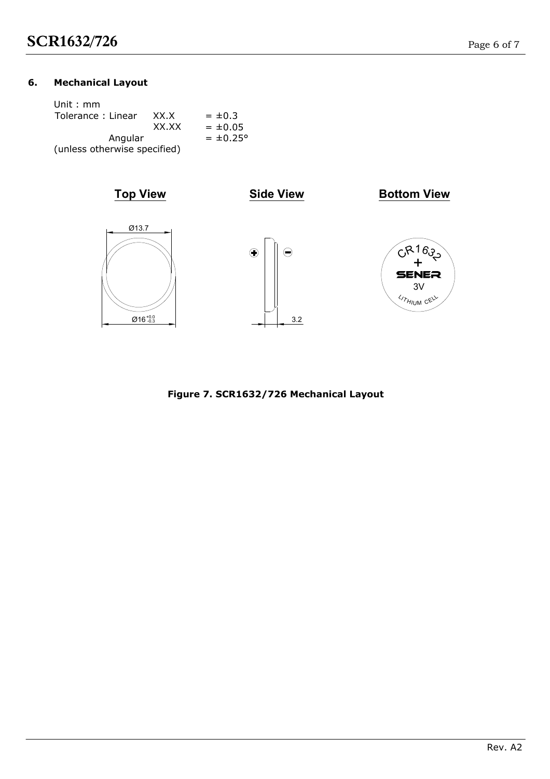### **Mechanical Layout 6.**

| Unit : $mm$                  |                      |             |
|------------------------------|----------------------|-------------|
| Tolerance: Linear            | XX.X                 | $= \pm 0.3$ |
|                              | XX.XX                | $= 10.05$   |
| Angular                      | $= \pm 0.25^{\circ}$ |             |
| (unless otherwise specified) |                      |             |



**Figure 7. SCR1632/726 Mechanical Layout**